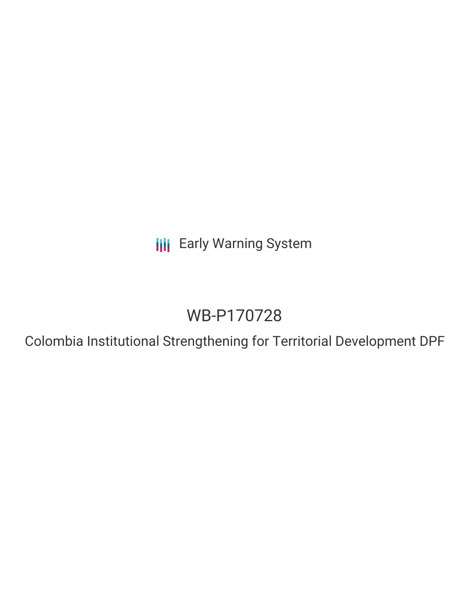**III** Early Warning System

# WB-P170728

Colombia Institutional Strengthening for Territorial Development DPF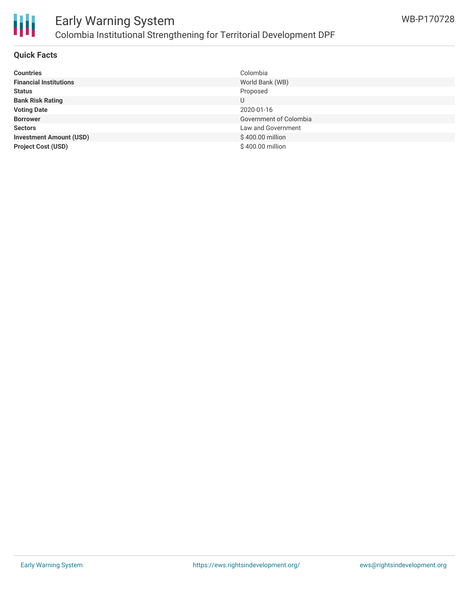

# Early Warning System Colombia Institutional Strengthening for Territorial Development DPF

#### **Quick Facts**

| <b>Countries</b>               | Colombia               |
|--------------------------------|------------------------|
| <b>Financial Institutions</b>  | World Bank (WB)        |
| <b>Status</b>                  | Proposed               |
| <b>Bank Risk Rating</b>        | U                      |
| <b>Voting Date</b>             | 2020-01-16             |
| <b>Borrower</b>                | Government of Colombia |
| <b>Sectors</b>                 | Law and Government     |
| <b>Investment Amount (USD)</b> | \$400.00 million       |
| <b>Project Cost (USD)</b>      | \$400.00 million       |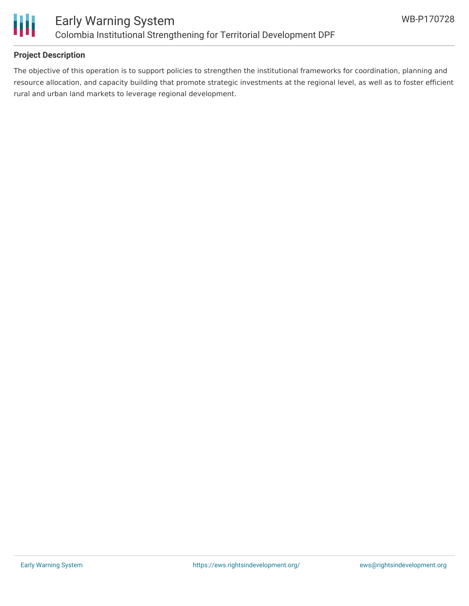

### **Project Description**

The objective of this operation is to support policies to strengthen the institutional frameworks for coordination, planning and resource allocation, and capacity building that promote strategic investments at the regional level, as well as to foster efficient rural and urban land markets to leverage regional development.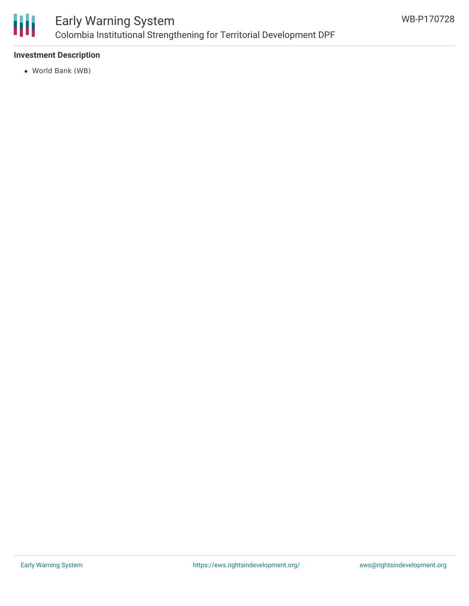

# Early Warning System Colombia Institutional Strengthening for Territorial Development DPF

### **Investment Description**

World Bank (WB)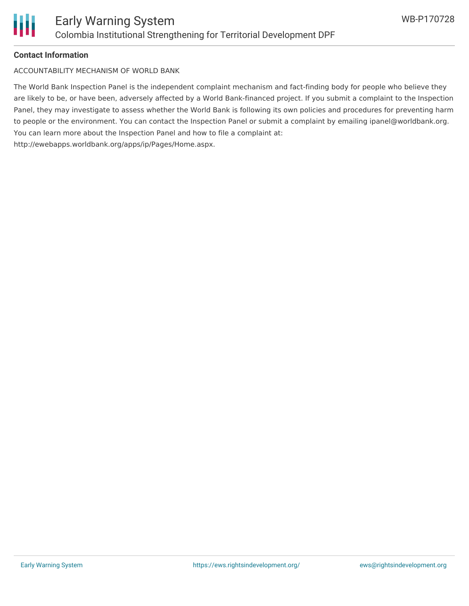

#### **Contact Information**

ACCOUNTABILITY MECHANISM OF WORLD BANK

The World Bank Inspection Panel is the independent complaint mechanism and fact-finding body for people who believe they are likely to be, or have been, adversely affected by a World Bank-financed project. If you submit a complaint to the Inspection Panel, they may investigate to assess whether the World Bank is following its own policies and procedures for preventing harm to people or the environment. You can contact the Inspection Panel or submit a complaint by emailing ipanel@worldbank.org. You can learn more about the Inspection Panel and how to file a complaint at: http://ewebapps.worldbank.org/apps/ip/Pages/Home.aspx.